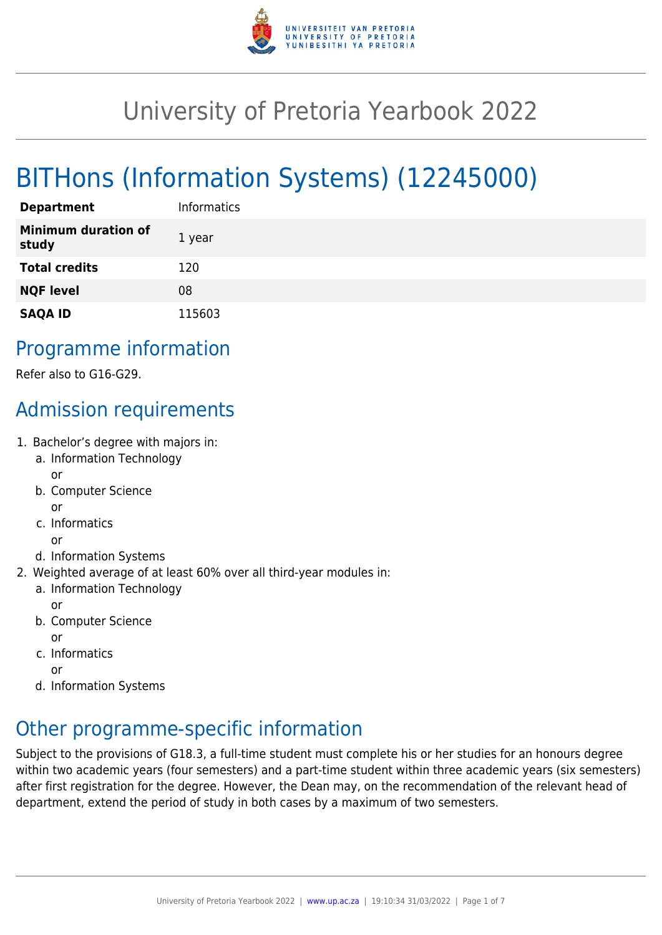

# University of Pretoria Yearbook 2022

# BITHons (Information Systems) (12245000)

| <b>Department</b>                   | <b>Informatics</b> |
|-------------------------------------|--------------------|
| <b>Minimum duration of</b><br>study | 1 year             |
| <b>Total credits</b>                | 120                |
| <b>NQF level</b>                    | 08                 |
| <b>SAQA ID</b>                      | 115603             |

# Programme information

Refer also to G16-G29.

# Admission requirements

- 1. Bachelor's degree with majors in:
	- a. Information Technology or
	- b. Computer Science or
	- c. Informatics
	- or
	- d. Information Systems
- 2. Weighted average of at least 60% over all third-year modules in:
	- a. Information Technology

or

b. Computer Science

or

c. Informatics

or

d. Information Systems

# Other programme-specific information

Subject to the provisions of G18.3, a full-time student must complete his or her studies for an honours degree within two academic years (four semesters) and a part-time student within three academic years (six semesters) after first registration for the degree. However, the Dean may, on the recommendation of the relevant head of department, extend the period of study in both cases by a maximum of two semesters.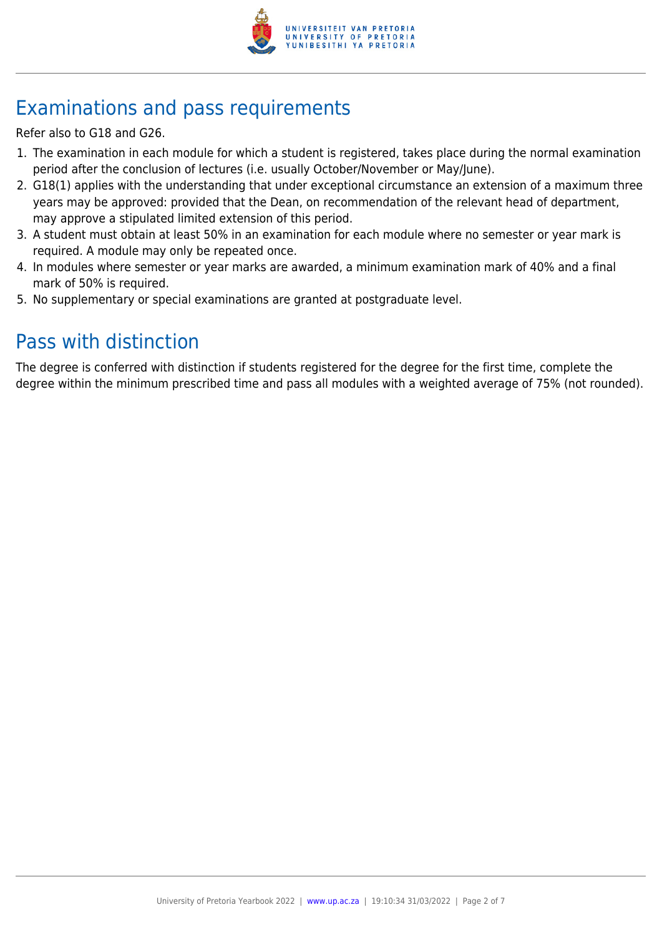

# Examinations and pass requirements

Refer also to G18 and G26.

- 1. The examination in each module for which a student is registered, takes place during the normal examination period after the conclusion of lectures (i.e. usually October/November or May/June).
- 2. G18(1) applies with the understanding that under exceptional circumstance an extension of a maximum three years may be approved: provided that the Dean, on recommendation of the relevant head of department, may approve a stipulated limited extension of this period.
- 3. A student must obtain at least 50% in an examination for each module where no semester or year mark is required. A module may only be repeated once.
- 4. In modules where semester or year marks are awarded, a minimum examination mark of 40% and a final mark of 50% is required.
- 5. No supplementary or special examinations are granted at postgraduate level.

# Pass with distinction

The degree is conferred with distinction if students registered for the degree for the first time, complete the degree within the minimum prescribed time and pass all modules with a weighted average of 75% (not rounded).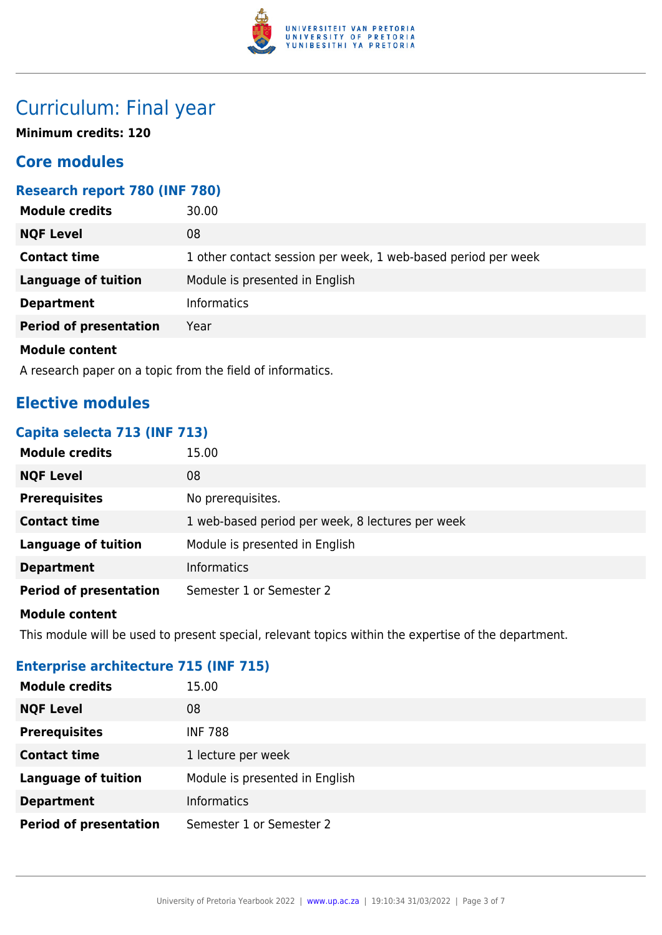

# Curriculum: Final year

**Minimum credits: 120**

# **Core modules**

# **Research report 780 (INF 780)**

| <b>Module credits</b>         | 30.00                                                         |
|-------------------------------|---------------------------------------------------------------|
| <b>NQF Level</b>              | 08                                                            |
| <b>Contact time</b>           | 1 other contact session per week, 1 web-based period per week |
| <b>Language of tuition</b>    | Module is presented in English                                |
| <b>Department</b>             | <b>Informatics</b>                                            |
| <b>Period of presentation</b> | Year                                                          |
| <b>Module content</b>         |                                                               |

A research paper on a topic from the field of informatics.

# **Elective modules**

# **Capita selecta 713 (INF 713)**

| <b>Module credits</b>         | 15.00                                            |
|-------------------------------|--------------------------------------------------|
| <b>NQF Level</b>              | 08                                               |
| <b>Prerequisites</b>          | No prerequisites.                                |
| <b>Contact time</b>           | 1 web-based period per week, 8 lectures per week |
| <b>Language of tuition</b>    | Module is presented in English                   |
| <b>Department</b>             | <b>Informatics</b>                               |
| <b>Period of presentation</b> | Semester 1 or Semester 2                         |
|                               |                                                  |

## **Module content**

This module will be used to present special, relevant topics within the expertise of the department.

# **Enterprise architecture 715 (INF 715)**

| <b>Module credits</b>         | 15.00                          |
|-------------------------------|--------------------------------|
| <b>NQF Level</b>              | 08                             |
| <b>Prerequisites</b>          | <b>INF 788</b>                 |
| <b>Contact time</b>           | 1 lecture per week             |
| <b>Language of tuition</b>    | Module is presented in English |
| <b>Department</b>             | <b>Informatics</b>             |
| <b>Period of presentation</b> | Semester 1 or Semester 2       |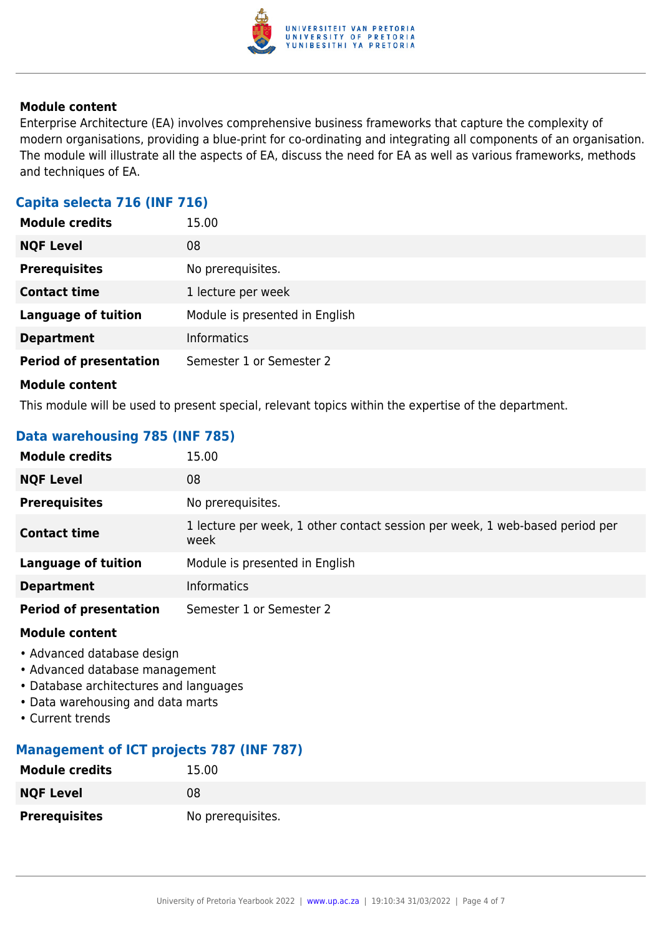

Enterprise Architecture (EA) involves comprehensive business frameworks that capture the complexity of modern organisations, providing a blue-print for co-ordinating and integrating all components of an organisation. The module will illustrate all the aspects of EA, discuss the need for EA as well as various frameworks, methods and techniques of EA.

# **Capita selecta 716 (INF 716)**

| <b>Module credits</b>         | 15.00                          |
|-------------------------------|--------------------------------|
| <b>NQF Level</b>              | 08                             |
| <b>Prerequisites</b>          | No prerequisites.              |
| <b>Contact time</b>           | 1 lecture per week             |
| <b>Language of tuition</b>    | Module is presented in English |
| <b>Department</b>             | <b>Informatics</b>             |
| <b>Period of presentation</b> | Semester 1 or Semester 2       |
| <b>Module content</b>         |                                |

This module will be used to present special, relevant topics within the expertise of the department.

# **Data warehousing 785 (INF 785)**

| <b>Module credits</b>         | 15.00                                                                                |
|-------------------------------|--------------------------------------------------------------------------------------|
| <b>NQF Level</b>              | 08                                                                                   |
| <b>Prerequisites</b>          | No prerequisites.                                                                    |
| <b>Contact time</b>           | 1 lecture per week, 1 other contact session per week, 1 web-based period per<br>week |
| <b>Language of tuition</b>    | Module is presented in English                                                       |
| <b>Department</b>             | <b>Informatics</b>                                                                   |
| <b>Period of presentation</b> | Semester 1 or Semester 2                                                             |

#### **Module content**

- Advanced database design
- Advanced database management
- Database architectures and languages
- Data warehousing and data marts
- Current trends

# **Management of ICT projects 787 (INF 787)**

| <b>Module credits</b> | 15.00             |
|-----------------------|-------------------|
| <b>NQF Level</b>      | 08                |
| <b>Prerequisites</b>  | No prerequisites. |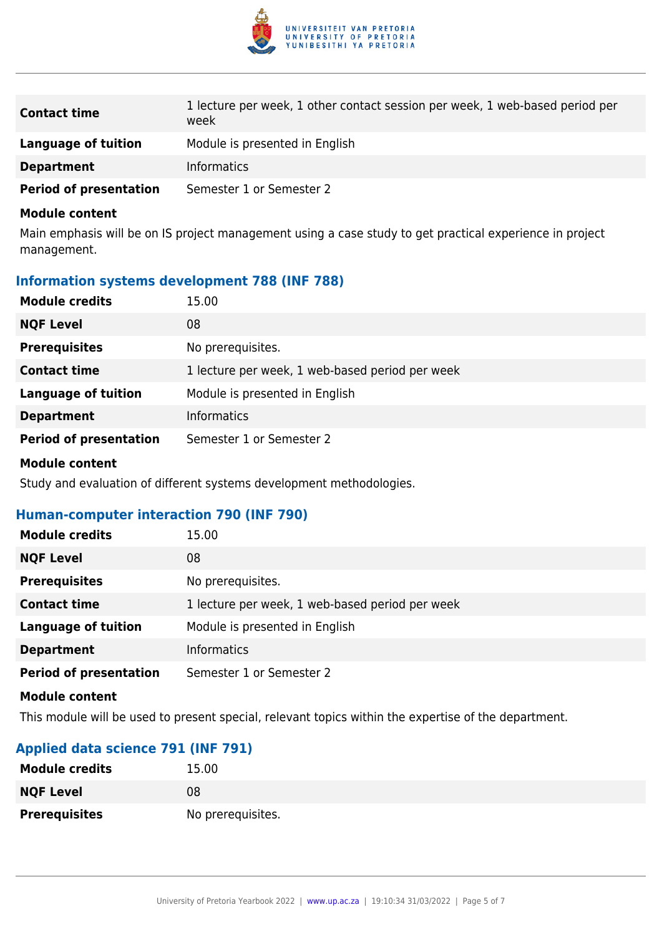

| <b>Contact time</b>           | 1 lecture per week, 1 other contact session per week, 1 web-based period per<br>week |
|-------------------------------|--------------------------------------------------------------------------------------|
| Language of tuition           | Module is presented in English                                                       |
| <b>Department</b>             | <b>Informatics</b>                                                                   |
| <b>Period of presentation</b> | Semester 1 or Semester 2                                                             |

Main emphasis will be on IS project management using a case study to get practical experience in project management.

# **Information systems development 788 (INF 788)**

| <b>Module credits</b>         | 15.00                                           |
|-------------------------------|-------------------------------------------------|
| <b>NQF Level</b>              | 08                                              |
| <b>Prerequisites</b>          | No prerequisites.                               |
| <b>Contact time</b>           | 1 lecture per week, 1 web-based period per week |
| <b>Language of tuition</b>    | Module is presented in English                  |
| <b>Department</b>             | <b>Informatics</b>                              |
| <b>Period of presentation</b> | Semester 1 or Semester 2                        |

# **Module content**

Study and evaluation of different systems development methodologies.

### **Human-computer interaction 790 (INF 790)**

| <b>Module credits</b>         | 15.00                                           |
|-------------------------------|-------------------------------------------------|
| <b>NQF Level</b>              | 08                                              |
| <b>Prerequisites</b>          | No prerequisites.                               |
| <b>Contact time</b>           | 1 lecture per week, 1 web-based period per week |
| <b>Language of tuition</b>    | Module is presented in English                  |
| <b>Department</b>             | <b>Informatics</b>                              |
| <b>Period of presentation</b> | Semester 1 or Semester 2                        |
| Module content                |                                                 |

This module will be used to present special, relevant topics within the expertise of the department.

### **Applied data science 791 (INF 791)**

| <b>Module credits</b> | 15.00             |
|-----------------------|-------------------|
| <b>NQF Level</b>      | 08                |
| <b>Prerequisites</b>  | No prerequisites. |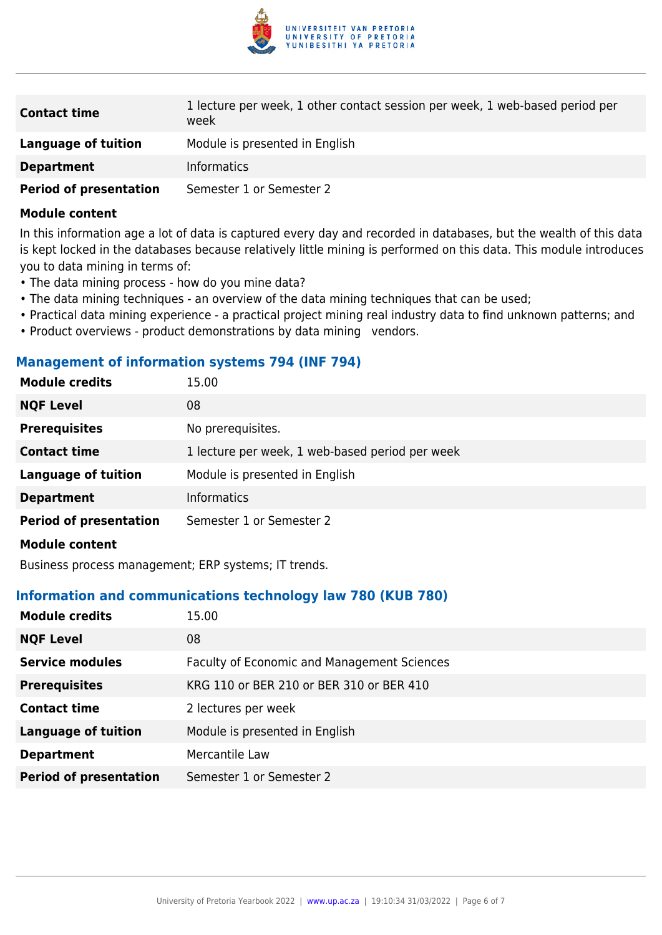

| <b>Contact time</b>           | 1 lecture per week, 1 other contact session per week, 1 web-based period per<br>week |
|-------------------------------|--------------------------------------------------------------------------------------|
| Language of tuition           | Module is presented in English                                                       |
| <b>Department</b>             | <b>Informatics</b>                                                                   |
| <b>Period of presentation</b> | Semester 1 or Semester 2                                                             |

In this information age a lot of data is captured every day and recorded in databases, but the wealth of this data is kept locked in the databases because relatively little mining is performed on this data. This module introduces you to data mining in terms of:

- The data mining process how do you mine data?
- The data mining techniques an overview of the data mining techniques that can be used;
- Practical data mining experience a practical project mining real industry data to find unknown patterns; and
- Product overviews product demonstrations by data mining vendors.

# **Management of information systems 794 (INF 794)**

| <b>Module credits</b>         | 15.00                                           |
|-------------------------------|-------------------------------------------------|
| <b>NQF Level</b>              | 08                                              |
| <b>Prerequisites</b>          | No prerequisites.                               |
| <b>Contact time</b>           | 1 lecture per week, 1 web-based period per week |
| <b>Language of tuition</b>    | Module is presented in English                  |
| <b>Department</b>             | <b>Informatics</b>                              |
| <b>Period of presentation</b> | Semester 1 or Semester 2                        |
| Module content                |                                                 |

Business process management; ERP systems; IT trends.

## **Information and communications technology law 780 (KUB 780)**

| <b>Module credits</b>         | 15.00                                       |
|-------------------------------|---------------------------------------------|
| <b>NQF Level</b>              | 08                                          |
| <b>Service modules</b>        | Faculty of Economic and Management Sciences |
| <b>Prerequisites</b>          | KRG 110 or BER 210 or BER 310 or BER 410    |
| <b>Contact time</b>           | 2 lectures per week                         |
| <b>Language of tuition</b>    | Module is presented in English              |
| <b>Department</b>             | Mercantile Law                              |
| <b>Period of presentation</b> | Semester 1 or Semester 2                    |